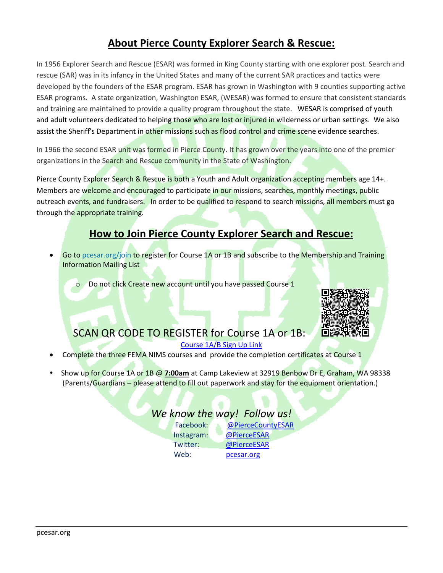# **About Pierce County Explorer Search & Rescue:**

In 1956 Explorer Search and Rescue (ESAR) was formed in King County starting with one explorer post. Search and rescue (SAR) was in its infancy in the United States and many of the current SAR practices and tactics were developed by the founders of the ESAR program. ESAR has grown in Washington with 9 counties supporting active ESAR programs. A state organization, Washington ESAR, (WESAR) was formed to ensure that consistent standards and training are maintained to provide a quality program throughout the state. WESAR is comprised of youth and adult volunteers dedicated to helping those who are lost or injured in wilderness or urban settings. We also assist the Sheriff's Department in other missions such as flood control and crime scene evidence searches.

In 1966 the second ESAR unit was formed in Pierce County. It has grown over the years into one of the premier organizations in the Search and Rescue community in the State of Washington.

Pierce County Explorer Search & Rescue is both a Youth and Adult organization accepting members age 14+. Members are welcome and encouraged to participate in our missions, searches, monthly meetings, public outreach events, and fundraisers. In order to be qualified to respond to search missions, all members must go through the appropriate training.

# **How to Join Pierce County Explorer Search and Rescue:**

 Go to pcesar.org/join to register for Course 1A or 1B and subscribe to the Membership and Training Information Mailing List

Do not click Create new account until you have passed Course 1



# SCAN QR CODE TO REGISTER for Course 1A or 1B:

#### [Course 1A/B Sign Up Link](https://forms.office.com/Pages/ResponsePage.aspx?id=DQSIkWdsW0yxEjajBLZtrQAAAAAAAAAAAANAARRotNVURUxFNUxXTjVPTDNLSlIwRUpRN1NBNzZFMi4u&qrcode=true)

- Complete the three FEMA NIMS courses and provide the completion certificates at Course 1
- Show up for Course 1A or 1B @ **7:00am** at Camp Lakeview at 32919 Benbow Dr E, Graham, WA 98338 (Parents/Guardians – please attend to fill out paperwork and stay for the equipment orientation.)

#### *We know the way! Follow us!*

| Facebook:  | @PierceCountyESAR |
|------------|-------------------|
| Instagram: | @PierceESAR       |
| Twitter:   | @PierceESAR       |
| Web:       | pcesar.org        |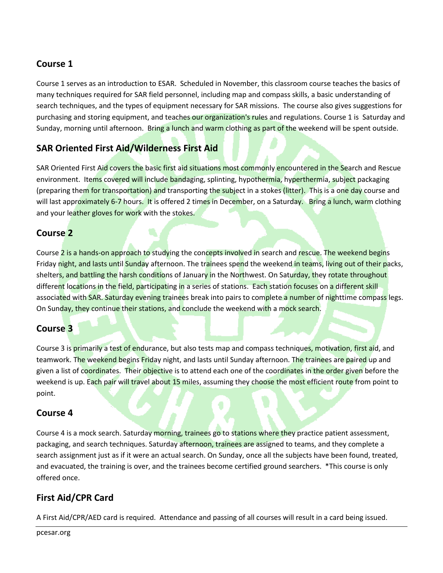#### **Course 1**

Course 1 serves as an introduction to ESAR. Scheduled in November, this classroom course teaches the basics of many techniques required for SAR field personnel, including map and compass skills, a basic understanding of search techniques, and the types of equipment necessary for SAR missions. The course also gives suggestions for purchasing and storing equipment, and teaches our organization's rules and regulations. Course 1 is Saturday and Sunday, morning until afternoon. Bring a lunch and warm clothing as part of the weekend will be spent outside.

### **SAR Oriented First Aid/Wilderness First Aid**

SAR Oriented First Aid covers the basic first aid situations most commonly encountered in the Search and Rescue environment. Items covered will include bandaging, splinting, hypothermia, hyperthermia, subject packaging (preparing them for transportation) and transporting the subject in a stokes (litter). This is a one day course and will last approximately 6-7 hours. It is offered 2 times in December, on a Saturday. Bring a lunch, warm clothing and your leather gloves for work with the stokes.

#### **Course 2**

Course 2 is a hands-on approach to studying the concepts involved in search and rescue. The weekend begins Friday night, and lasts until Sunday afternoon. The trainees spend the weekend in teams, living out of their packs, shelters, and battling the harsh conditions of January in the Northwest. On Saturday, they rotate throughout different locations in the field, participating in a series of stations. Each station focuses on a different skill associated with SAR. Saturday evening trainees break into pairs to complete a number of nighttime compass legs. On Sunday, they continue their stations, and conclude the weekend with a mock search.

### **Course 3**

Course 3 is primarily a test of endurance, but also tests map and compass techniques, motivation, first aid, and teamwork. The weekend begins Friday night, and lasts until Sunday afternoon. The trainees are paired up and given a list of coordinates. Their objective is to attend each one of the coordinates in the order given before the weekend is up. Each pair will travel about 15 miles, assuming they choose the most efficient route from point to point.

#### **Course 4**

Course 4 is a mock search. Saturday morning, trainees go to stations where they practice patient assessment, packaging, and search techniques. Saturday afternoon, trainees are assigned to teams, and they complete a search assignment just as if it were an actual search. On Sunday, once all the subjects have been found, treated, and evacuated, the training is over, and the trainees become certified ground searchers. \*This course is only offered once.

### **First Aid/CPR Card**

A First Aid/CPR/AED card is required. Attendance and passing of all courses will result in a card being issued.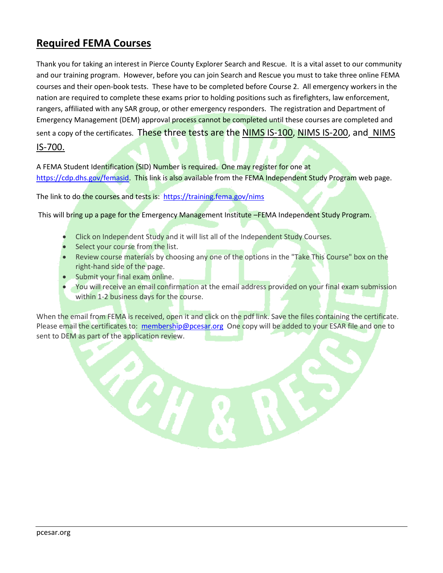# **Required FEMA Courses**

Thank you for taking an interest in Pierce County Explorer Search and Rescue. It is a vital asset to our community and our training program. However, before you can join Search and Rescue you must to take three online FEMA courses and their open-book tests. These have to be completed before Course 2. All emergency workers in the nation are required to complete these exams prior to holding positions such as firefighters, law enforcement, rangers, affiliated with any SAR group, or other emergency responders. The registration and Department of Emergency Management (DEM) approval process cannot be completed until these courses are completed and sent a copy of the certificates. These three tests are the NIMS IS-100, NIMS IS-200, and NIMS IS-700.

A FEMA Student Identification (SID) Number is required. One may register for one at [https://cdp.dhs.gov/femasid.](https://cdp.dhs.gov/femasid) This link is also available from the FEMA Independent Study Program web page.

The link to do the courses and tests is: <https://training.fema.gov/nims>

This will bring up a page for the Emergency Management Institute -FEMA Independent Study Program.

- Click on Independent Study and it will list all of the Independent Study Courses.
- Select your course from the list.
- Review course materials by choosing any one of the options in the "Take This Course" box on the right-hand side of the page.
- Submit your final exam online.
- You will receive an email confirmation at the email address provided on your final exam submission within 1-2 business days for the course.

When the email from FEMA is received, open it and click on the pdf link. Save the files containing the certificate. Please email the certificates to: [membership@pcesar.org](mailto:membership@pcesar.org) One copy will be added to your ESAR file and one to sent to DEM as part of the application review.